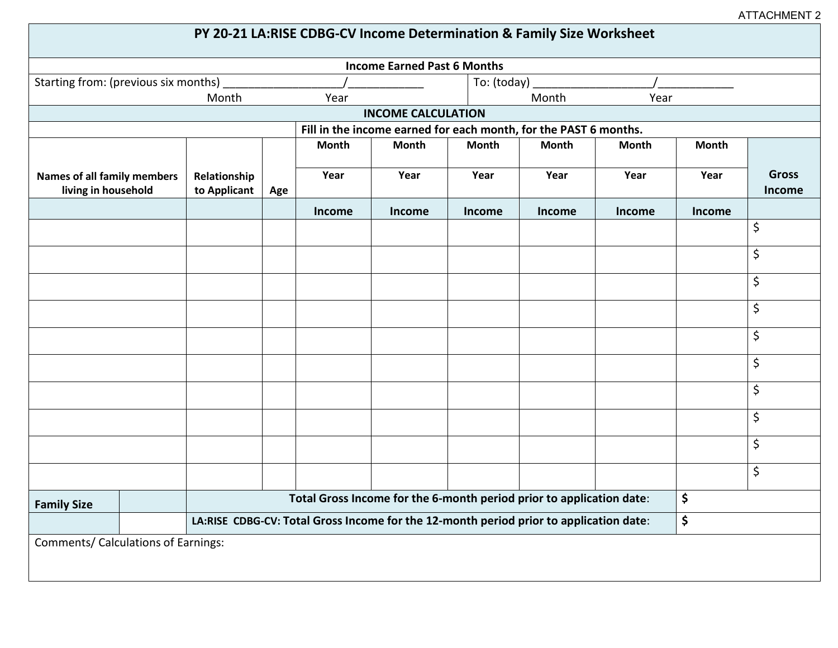ATTACHMENT 2

| PY 20-21 LA:RISE CDBG-CV Income Determination & Family Size Worksheet |                                                                                        |      |              |        |               |        |              |        |                        |
|-----------------------------------------------------------------------|----------------------------------------------------------------------------------------|------|--------------|--------|---------------|--------|--------------|--------|------------------------|
| <b>Income Earned Past 6 Months</b>                                    |                                                                                        |      |              |        |               |        |              |        |                        |
| Starting from: (previous six months) _                                |                                                                                        |      |              |        | To: (today)   |        |              |        |                        |
|                                                                       |                                                                                        | Year |              |        | Month<br>Year |        |              |        |                        |
| <b>INCOME CALCULATION</b>                                             |                                                                                        |      |              |        |               |        |              |        |                        |
| Fill in the income earned for each month, for the PAST 6 months.      |                                                                                        |      |              |        |               |        |              |        |                        |
|                                                                       |                                                                                        |      | <b>Month</b> | Month  | <b>Month</b>  | Month  | <b>Month</b> | Month  |                        |
| <b>Names of all family members</b><br>living in household             | Relationship<br>to Applicant                                                           | Age  | Year         | Year   | Year          | Year   | Year         | Year   | <b>Gross</b><br>Income |
|                                                                       |                                                                                        |      | Income       | Income | <b>Income</b> | Income | Income       | Income |                        |
|                                                                       |                                                                                        |      |              |        |               |        |              |        | \$                     |
|                                                                       |                                                                                        |      |              |        |               |        |              |        | \$                     |
|                                                                       |                                                                                        |      |              |        |               |        |              |        | \$                     |
|                                                                       |                                                                                        |      |              |        |               |        |              |        | \$                     |
|                                                                       |                                                                                        |      |              |        |               |        |              |        | \$                     |
|                                                                       |                                                                                        |      |              |        |               |        |              |        | \$                     |
|                                                                       |                                                                                        |      |              |        |               |        |              |        | \$                     |
|                                                                       |                                                                                        |      |              |        |               |        |              |        | \$                     |
|                                                                       |                                                                                        |      |              |        |               |        |              |        | \$                     |
|                                                                       |                                                                                        |      |              |        |               |        |              |        | \$                     |
| <b>Family Size</b>                                                    | Total Gross Income for the 6-month period prior to application date:                   |      |              |        |               |        |              | \$     |                        |
|                                                                       | LA:RISE CDBG-CV: Total Gross Income for the 12-month period prior to application date: |      |              |        |               |        |              | \$     |                        |
| Comments/ Calculations of Earnings:                                   |                                                                                        |      |              |        |               |        |              |        |                        |